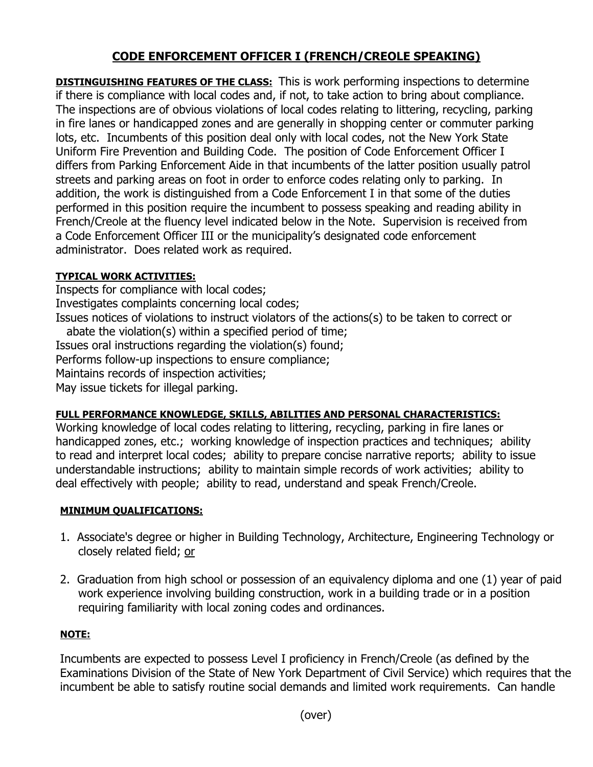# **CODE ENFORCEMENT OFFICER I (FRENCH/CREOLE SPEAKING)**

**DISTINGUISHING FEATURES OF THE CLASS:** This is work performing inspections to determine if there is compliance with local codes and, if not, to take action to bring about compliance. The inspections are of obvious violations of local codes relating to littering, recycling, parking in fire lanes or handicapped zones and are generally in shopping center or commuter parking lots, etc. Incumbents of this position deal only with local codes, not the New York State Uniform Fire Prevention and Building Code. The position of Code Enforcement Officer I differs from Parking Enforcement Aide in that incumbents of the latter position usually patrol streets and parking areas on foot in order to enforce codes relating only to parking. In addition, the work is distinguished from a Code Enforcement I in that some of the duties performed in this position require the incumbent to possess speaking and reading ability in French/Creole at the fluency level indicated below in the Note. Supervision is received from a Code Enforcement Officer III or the municipality's designated code enforcement administrator. Does related work as required.

## **TYPICAL WORK ACTIVITIES:**

Inspects for compliance with local codes; Investigates complaints concerning local codes; Issues notices of violations to instruct violators of the actions(s) to be taken to correct or abate the violation(s) within a specified period of time; Issues oral instructions regarding the violation(s) found; Performs follow-up inspections to ensure compliance; Maintains records of inspection activities; May issue tickets for illegal parking.

## **FULL PERFORMANCE KNOWLEDGE, SKILLS, ABILITIES AND PERSONAL CHARACTERISTICS:**

Working knowledge of local codes relating to littering, recycling, parking in fire lanes or handicapped zones, etc.; working knowledge of inspection practices and techniques; ability to read and interpret local codes; ability to prepare concise narrative reports; ability to issue understandable instructions; ability to maintain simple records of work activities; ability to deal effectively with people; ability to read, understand and speak French/Creole.

## **MINIMUM QUALIFICATIONS:**

- 1. Associate's degree or higher in Building Technology, Architecture, Engineering Technology or closely related field; or
- 2. Graduation from high school or possession of an equivalency diploma and one (1) year of paid work experience involving building construction, work in a building trade or in a position requiring familiarity with local zoning codes and ordinances.

## **NOTE:**

Incumbents are expected to possess Level I proficiency in French/Creole (as defined by the Examinations Division of the State of New York Department of Civil Service) which requires that the incumbent be able to satisfy routine social demands and limited work requirements. Can handle